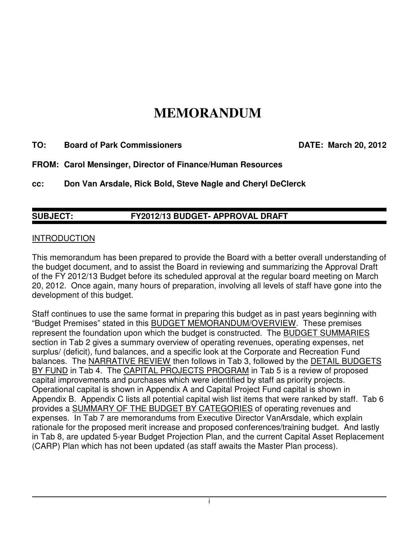# **MEMORANDUM**

**TO: Board of Park Commissioners DATE: March 20, 2012** 

**FROM: Carol Mensinger, Director of Finance/Human Resources** 

**cc: Don Van Arsdale, Rick Bold, Steve Nagle and Cheryl DeClerck** 

## **SUBJECT: FY2012/13 BUDGET- APPROVAL DRAFT**

#### INTRODUCTION

This memorandum has been prepared to provide the Board with a better overall understanding of the budget document, and to assist the Board in reviewing and summarizing the Approval Draft of the FY 2012/13 Budget before its scheduled approval at the regular board meeting on March 20, 2012. Once again, many hours of preparation, involving all levels of staff have gone into the development of this budget.

Staff continues to use the same format in preparing this budget as in past years beginning with "Budget Premises" stated in this BUDGET MEMORANDUM/OVERVIEW. These premises represent the foundation upon which the budget is constructed. The BUDGET SUMMARIES section in Tab 2 gives a summary overview of operating revenues, operating expenses, net surplus/ (deficit), fund balances, and a specific look at the Corporate and Recreation Fund balances. The NARRATIVE REVIEW then follows in Tab 3, followed by the DETAIL BUDGETS BY FUND in Tab 4. The CAPITAL PROJECTS PROGRAM in Tab 5 is a review of proposed capital improvements and purchases which were identified by staff as priority projects. Operational capital is shown in Appendix A and Capital Project Fund capital is shown in Appendix B. Appendix C lists all potential capital wish list items that were ranked by staff. Tab 6 provides a SUMMARY OF THE BUDGET BY CATEGORIES of operating revenues and expenses. In Tab 7 are memorandums from Executive Director VanArsdale, which explain rationale for the proposed merit increase and proposed conferences/training budget. And lastly in Tab 8, are updated 5-year Budget Projection Plan, and the current Capital Asset Replacement (CARP) Plan which has not been updated (as staff awaits the Master Plan process).

i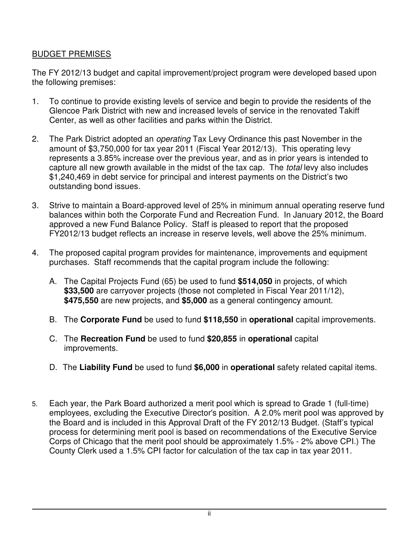### BUDGET PREMISES

The FY 2012/13 budget and capital improvement/project program were developed based upon the following premises:

- 1. To continue to provide existing levels of service and begin to provide the residents of the Glencoe Park District with new and increased levels of service in the renovated Takiff Center, as well as other facilities and parks within the District.
- 2. The Park District adopted an *operating* Tax Levy Ordinance this past November in the amount of \$3,750,000 for tax year 2011 (Fiscal Year 2012/13). This operating levy represents a 3.85% increase over the previous year, and as in prior years is intended to capture all new growth available in the midst of the tax cap. The total levy also includes \$1,240,469 in debt service for principal and interest payments on the District's two outstanding bond issues.
- 3. Strive to maintain a Board-approved level of 25% in minimum annual operating reserve fund balances within both the Corporate Fund and Recreation Fund. In January 2012, the Board approved a new Fund Balance Policy. Staff is pleased to report that the proposed FY2012/13 budget reflects an increase in reserve levels, well above the 25% minimum.
- 4. The proposed capital program provides for maintenance, improvements and equipment purchases. Staff recommends that the capital program include the following:
	- A. The Capital Projects Fund (65) be used to fund **\$514,050** in projects, of which **\$33,500** are carryover projects (those not completed in Fiscal Year 2011/12), **\$475,550** are new projects, and **\$5,000** as a general contingency amount.
	- B. The **Corporate Fund** be used to fund **\$118,550** in **operational** capital improvements.
	- C. The **Recreation Fund** be used to fund **\$20,855** in **operational** capital improvements.
	- D. The **Liability Fund** be used to fund **\$6,000** in **operational** safety related capital items.
- 5. Each year, the Park Board authorized a merit pool which is spread to Grade 1 (full-time) employees, excluding the Executive Director's position. A 2.0% merit pool was approved by the Board and is included in this Approval Draft of the FY 2012/13 Budget. (Staff's typical process for determining merit pool is based on recommendations of the Executive Service Corps of Chicago that the merit pool should be approximately 1.5% - 2% above CPI.) The County Clerk used a 1.5% CPI factor for calculation of the tax cap in tax year 2011.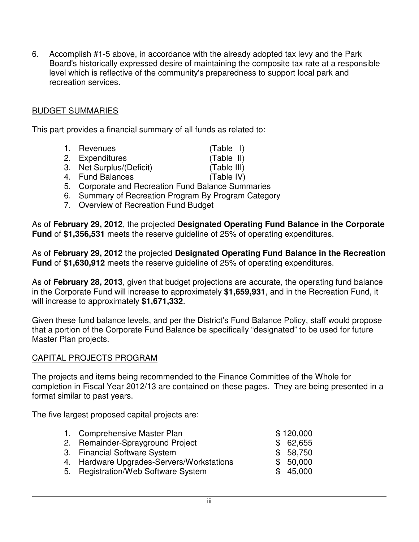6. Accomplish #1-5 above, in accordance with the already adopted tax levy and the Park Board's historically expressed desire of maintaining the composite tax rate at a responsible level which is reflective of the community's preparedness to support local park and recreation services.

#### BUDGET SUMMARIES

This part provides a financial summary of all funds as related to:

- 1. Revenues (Table I)
- 2. Expenditures (Table II)
- 
- 3. Net Surplus/(Deficit) (Table III)
- 4. Fund Balances (Table IV)
- 5. Corporate and Recreation Fund Balance Summaries
- 6. Summary of Recreation Program By Program Category
- 7. Overview of Recreation Fund Budget

As of **February 29, 2012**, the projected **Designated Operating Fund Balance in the Corporate Fund** of **\$1,356,531** meets the reserve guideline of 25% of operating expenditures.

As of **February 29, 2012** the projected **Designated Operating Fund Balance in the Recreation Fund** of **\$1,630,912** meets the reserve guideline of 25% of operating expenditures.

As of **February 28, 2013**, given that budget projections are accurate, the operating fund balance in the Corporate Fund will increase to approximately **\$1,659,931**, and in the Recreation Fund, it will increase to approximately **\$1,671,332**.

Given these fund balance levels, and per the District's Fund Balance Policy, staff would propose that a portion of the Corporate Fund Balance be specifically "designated" to be used for future Master Plan projects.

#### CAPITAL PROJECTS PROGRAM

The projects and items being recommended to the Finance Committee of the Whole for completion in Fiscal Year 2012/13 are contained on these pages. They are being presented in a format similar to past years.

The five largest proposed capital projects are:

| 1. Comprehensive Master Plan              | \$120,000 |
|-------------------------------------------|-----------|
| 2. Remainder-Sprayground Project          | \$62,655  |
| 3. Financial Software System              | \$58,750  |
| 4. Hardware Upgrades-Servers/Workstations | \$50,000  |
| 5. Registration/Web Software System       | \$45,000  |
|                                           |           |